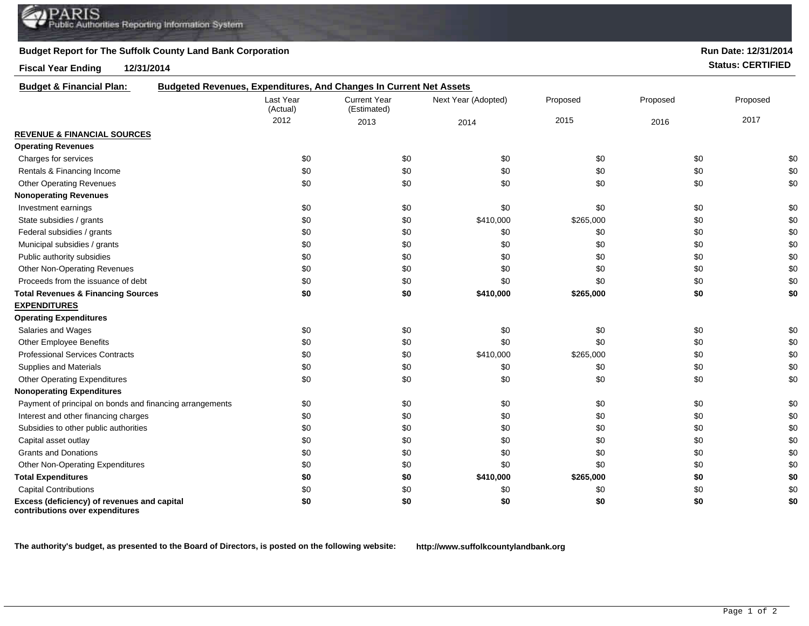## **Budget Report for The Suffolk County Land Bank Corporation**

**Fiscal Year Ending 12/31/2014 Status: CERTIFIED**

**Run Date: 12/31/2014**

| <b>Budget &amp; Financial Plan:</b>                                            | Budgeted Revenues, Expenditures, And Changes In Current Net Assets |                                    |                     |           |          |          |
|--------------------------------------------------------------------------------|--------------------------------------------------------------------|------------------------------------|---------------------|-----------|----------|----------|
|                                                                                | Last Year<br>(Actual)                                              | <b>Current Year</b><br>(Estimated) | Next Year (Adopted) | Proposed  | Proposed | Proposed |
|                                                                                | 2012                                                               | 2013                               | 2014                | 2015      | 2016     | 2017     |
| <b>REVENUE &amp; FINANCIAL SOURCES</b>                                         |                                                                    |                                    |                     |           |          |          |
| <b>Operating Revenues</b>                                                      |                                                                    |                                    |                     |           |          |          |
| Charges for services                                                           | \$0                                                                | \$0                                | \$0                 | \$0       | \$0      | \$0      |
| Rentals & Financing Income                                                     | \$0                                                                | \$0                                | \$0                 | \$0       | \$0      | \$0      |
| <b>Other Operating Revenues</b>                                                | \$0                                                                | \$0                                | \$0                 | \$0       | \$0      | \$0      |
| <b>Nonoperating Revenues</b>                                                   |                                                                    |                                    |                     |           |          |          |
| Investment earnings                                                            | \$0                                                                | \$0                                | \$0                 | \$0       | \$0      | \$0      |
| State subsidies / grants                                                       | \$0                                                                | \$0                                | \$410,000           | \$265,000 | \$0      | \$0      |
| Federal subsidies / grants                                                     | \$0                                                                | \$0                                | \$0                 | \$0       | \$0      | \$0      |
| Municipal subsidies / grants                                                   | \$0                                                                | \$0                                | \$0                 | \$0       | \$0      | \$0      |
| Public authority subsidies                                                     | \$0                                                                | \$0                                | \$0                 | \$0       | \$0      | \$0      |
| <b>Other Non-Operating Revenues</b>                                            | \$0                                                                | \$0                                | \$0                 | \$0       | \$0      | \$0      |
| Proceeds from the issuance of debt                                             | \$0                                                                | \$0                                | \$0                 | \$0       | \$0      | \$0      |
| <b>Total Revenues &amp; Financing Sources</b>                                  | \$0                                                                | \$0                                | \$410,000           | \$265,000 | \$0      | \$0      |
| <b>EXPENDITURES</b>                                                            |                                                                    |                                    |                     |           |          |          |
| <b>Operating Expenditures</b>                                                  |                                                                    |                                    |                     |           |          |          |
| Salaries and Wages                                                             | \$0                                                                | \$0                                | \$0                 | \$0       | \$0      | \$0      |
| Other Employee Benefits                                                        | \$0                                                                | \$0                                | \$0                 | \$0       | \$0      | \$0      |
| <b>Professional Services Contracts</b>                                         | \$0                                                                | \$0                                | \$410,000           | \$265,000 | \$0      | \$0      |
| Supplies and Materials                                                         | \$0                                                                | \$0                                | \$0                 | \$0       | \$0      | \$0      |
| <b>Other Operating Expenditures</b>                                            | \$0                                                                | \$0                                | \$0                 | \$0       | \$0      | \$0      |
| <b>Nonoperating Expenditures</b>                                               |                                                                    |                                    |                     |           |          |          |
| Payment of principal on bonds and financing arrangements                       | \$0                                                                | \$0                                | \$0                 | \$0       | \$0      | \$0      |
| Interest and other financing charges                                           | \$0                                                                | \$0                                | \$0                 | \$0       | \$0      | \$0      |
| Subsidies to other public authorities                                          | \$0                                                                | \$0                                | \$0                 | \$0       | \$0      | \$0      |
| Capital asset outlay                                                           | \$0                                                                | \$0                                | \$0                 | \$0       | \$0      | \$0      |
| <b>Grants and Donations</b>                                                    | \$0                                                                | \$0                                | \$0                 | \$0       | \$0      | \$0      |
| <b>Other Non-Operating Expenditures</b>                                        | \$0                                                                | \$0                                | \$0                 | \$0       | \$0      | \$0      |
| <b>Total Expenditures</b>                                                      | \$0                                                                | \$0                                | \$410,000           | \$265,000 | \$0      | \$0      |
| <b>Capital Contributions</b>                                                   | \$0                                                                | \$0                                | \$0                 | \$0       | \$0      | \$0      |
| Excess (deficiency) of revenues and capital<br>contributions over expenditures | \$0                                                                | \$0                                | \$0                 | \$0       | \$0      | \$0      |

**The authority's budget, as presented to the Board of Directors, is posted on the following website: http://www.suffolkcountylandbank.org**